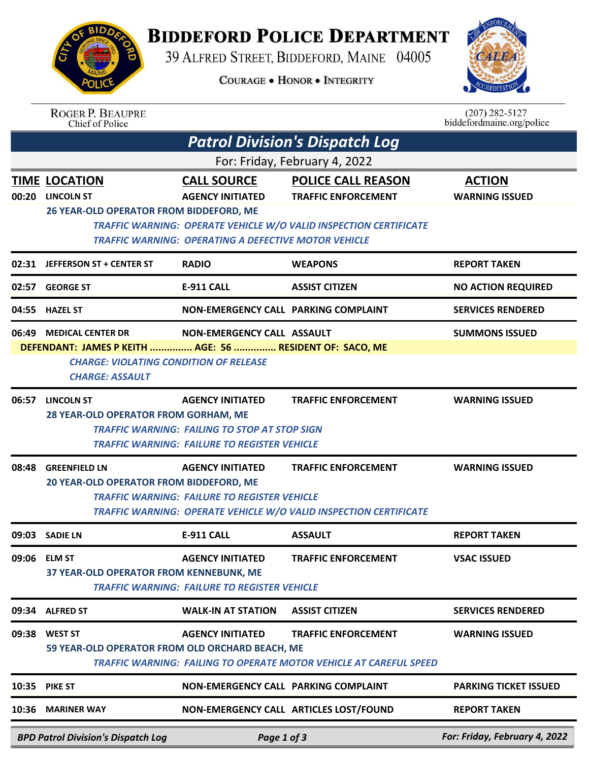

## **BIDDEFORD POLICE DEPARTMENT**

39 ALFRED STREET, BIDDEFORD, MAINE 04005

**COURAGE . HONOR . INTEGRITY** 



| <b>ROGER P. BEAUPRE</b> |
|-------------------------|
| Chief of Police         |

 $(207)$  282-5127<br>biddefordmaine.org/police

|                                                                                           | <b>Patrol Division's Dispatch Log</b>                                                                                                                                                                                 |                                                                                                                                        |                                                                                                                                     |                                        |  |  |  |  |
|-------------------------------------------------------------------------------------------|-----------------------------------------------------------------------------------------------------------------------------------------------------------------------------------------------------------------------|----------------------------------------------------------------------------------------------------------------------------------------|-------------------------------------------------------------------------------------------------------------------------------------|----------------------------------------|--|--|--|--|
| For: Friday, February 4, 2022                                                             |                                                                                                                                                                                                                       |                                                                                                                                        |                                                                                                                                     |                                        |  |  |  |  |
| 00:20                                                                                     | <b>TIME LOCATION</b><br><b>LINCOLN ST</b><br>26 YEAR-OLD OPERATOR FROM BIDDEFORD, ME                                                                                                                                  | <b>CALL SOURCE</b><br><b>AGENCY INITIATED</b><br><b>TRAFFIC WARNING: OPERATING A DEFECTIVE MOTOR VEHICLE</b>                           | <b>POLICE CALL REASON</b><br><b>TRAFFIC ENFORCEMENT</b><br><b>TRAFFIC WARNING: OPERATE VEHICLE W/O VALID INSPECTION CERTIFICATE</b> | <b>ACTION</b><br><b>WARNING ISSUED</b> |  |  |  |  |
|                                                                                           | 02:31 JEFFERSON ST + CENTER ST                                                                                                                                                                                        | <b>RADIO</b>                                                                                                                           | <b>WEAPONS</b>                                                                                                                      | <b>REPORT TAKEN</b>                    |  |  |  |  |
|                                                                                           | 02:57 GEORGE ST                                                                                                                                                                                                       | <b>E-911 CALL</b>                                                                                                                      | <b>ASSIST CITIZEN</b>                                                                                                               | <b>NO ACTION REQUIRED</b>              |  |  |  |  |
|                                                                                           | 04:55 HAZEL ST                                                                                                                                                                                                        | NON-EMERGENCY CALL PARKING COMPLAINT                                                                                                   |                                                                                                                                     | <b>SERVICES RENDERED</b>               |  |  |  |  |
|                                                                                           | 06:49 MEDICAL CENTER DR<br>NON-EMERGENCY CALL ASSAULT<br><b>SUMMONS ISSUED</b><br>DEFENDANT: JAMES P KEITH  AGE: 56  RESIDENT OF: SACO, ME<br><b>CHARGE: VIOLATING CONDITION OF RELEASE</b><br><b>CHARGE: ASSAULT</b> |                                                                                                                                        |                                                                                                                                     |                                        |  |  |  |  |
| 06:57                                                                                     | <b>LINCOLN ST</b><br>28 YEAR-OLD OPERATOR FROM GORHAM, ME                                                                                                                                                             | <b>AGENCY INITIATED</b><br><b>TRAFFIC WARNING: FAILING TO STOP AT STOP SIGN</b><br><b>TRAFFIC WARNING: FAILURE TO REGISTER VEHICLE</b> | <b>TRAFFIC ENFORCEMENT</b>                                                                                                          | <b>WARNING ISSUED</b>                  |  |  |  |  |
| 08:48                                                                                     | <b>GREENFIELD LN</b><br>20 YEAR-OLD OPERATOR FROM BIDDEFORD, ME                                                                                                                                                       | <b>AGENCY INITIATED</b><br><b>TRAFFIC WARNING: FAILURE TO REGISTER VEHICLE</b>                                                         | <b>TRAFFIC ENFORCEMENT</b><br><b>TRAFFIC WARNING: OPERATE VEHICLE W/O VALID INSPECTION CERTIFICATE</b>                              | <b>WARNING ISSUED</b>                  |  |  |  |  |
| 09:03                                                                                     | <b>SADIE LN</b>                                                                                                                                                                                                       | <b>E-911 CALL</b>                                                                                                                      | <b>ASSAULT</b>                                                                                                                      | <b>REPORT TAKEN</b>                    |  |  |  |  |
| 09:06                                                                                     | <b>ELM ST</b><br>37 YEAR-OLD OPERATOR FROM KENNEBUNK, ME                                                                                                                                                              | <b>AGENCY INITIATED</b><br><b>TRAFFIC WARNING: FAILURE TO REGISTER VEHICLE</b>                                                         | <b>TRAFFIC ENFORCEMENT</b>                                                                                                          | <b>VSAC ISSUED</b>                     |  |  |  |  |
| 09:34                                                                                     | <b>ALFRED ST</b>                                                                                                                                                                                                      | <b>WALK-IN AT STATION</b>                                                                                                              | <b>ASSIST CITIZEN</b>                                                                                                               | <b>SERVICES RENDERED</b>               |  |  |  |  |
|                                                                                           | 09:38 WEST ST<br>59 YEAR-OLD OPERATOR FROM OLD ORCHARD BEACH, ME                                                                                                                                                      | <b>AGENCY INITIATED</b>                                                                                                                | <b>TRAFFIC ENFORCEMENT</b><br><b>TRAFFIC WARNING: FAILING TO OPERATE MOTOR VEHICLE AT CAREFUL SPEED</b>                             | <b>WARNING ISSUED</b>                  |  |  |  |  |
|                                                                                           | 10:35 PIKE ST                                                                                                                                                                                                         | NON-EMERGENCY CALL PARKING COMPLAINT                                                                                                   |                                                                                                                                     | <b>PARKING TICKET ISSUED</b>           |  |  |  |  |
| 10:36                                                                                     | <b>MARINER WAY</b>                                                                                                                                                                                                    |                                                                                                                                        | NON-EMERGENCY CALL ARTICLES LOST/FOUND                                                                                              | <b>REPORT TAKEN</b>                    |  |  |  |  |
| For: Friday, February 4, 2022<br><b>RPD Patrol Division's Dispatch Log</b><br>Page 1 of 3 |                                                                                                                                                                                                                       |                                                                                                                                        |                                                                                                                                     |                                        |  |  |  |  |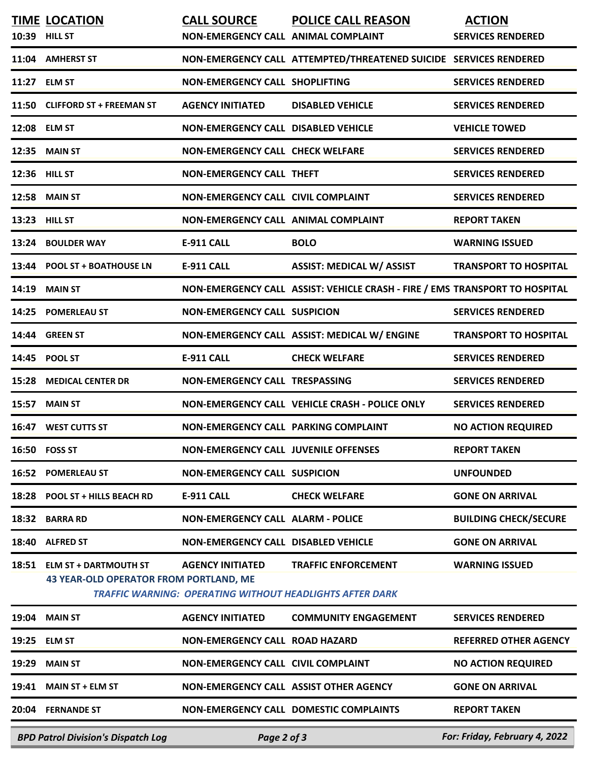|       | <b>TIME LOCATION</b><br>10:39 HILL ST                                         | <b>CALL SOURCE</b><br>NON-EMERGENCY CALL ANIMAL COMPLAINT | <b>POLICE CALL REASON</b>                                                                     | <b>ACTION</b><br><b>SERVICES RENDERED</b> |
|-------|-------------------------------------------------------------------------------|-----------------------------------------------------------|-----------------------------------------------------------------------------------------------|-------------------------------------------|
|       | 11:04 AMHERST ST                                                              |                                                           | NON-EMERGENCY CALL ATTEMPTED/THREATENED SUICIDE SERVICES RENDERED                             |                                           |
|       | 11:27 ELM ST                                                                  | <b>NON-EMERGENCY CALL SHOPLIFTING</b>                     |                                                                                               | <b>SERVICES RENDERED</b>                  |
| 11:50 | <b>CLIFFORD ST + FREEMAN ST</b>                                               | <b>AGENCY INITIATED</b>                                   | <b>DISABLED VEHICLE</b>                                                                       | <b>SERVICES RENDERED</b>                  |
|       | 12:08 ELM ST                                                                  | <b>NON-EMERGENCY CALL DISABLED VEHICLE</b>                |                                                                                               | <b>VEHICLE TOWED</b>                      |
| 12:35 | <b>MAIN ST</b>                                                                | <b>NON-EMERGENCY CALL CHECK WELFARE</b>                   |                                                                                               | <b>SERVICES RENDERED</b>                  |
|       | 12:36 HILL ST                                                                 | <b>NON-EMERGENCY CALL THEFT</b>                           |                                                                                               | <b>SERVICES RENDERED</b>                  |
| 12:58 | <b>MAIN ST</b>                                                                | <b>NON-EMERGENCY CALL CIVIL COMPLAINT</b>                 |                                                                                               | <b>SERVICES RENDERED</b>                  |
| 13:23 | <b>HILL ST</b>                                                                | NON-EMERGENCY CALL ANIMAL COMPLAINT                       |                                                                                               | <b>REPORT TAKEN</b>                       |
| 13:24 | <b>BOULDER WAY</b>                                                            | <b>E-911 CALL</b>                                         | <b>BOLO</b>                                                                                   | <b>WARNING ISSUED</b>                     |
| 13:44 | <b>POOL ST + BOATHOUSE LN</b>                                                 | <b>E-911 CALL</b>                                         | <b>ASSIST: MEDICAL W/ ASSIST</b>                                                              | <b>TRANSPORT TO HOSPITAL</b>              |
| 14:19 | <b>MAIN ST</b>                                                                |                                                           | NON-EMERGENCY CALL ASSIST: VEHICLE CRASH - FIRE / EMS TRANSPORT TO HOSPITAL                   |                                           |
| 14:25 | <b>POMERLEAU ST</b>                                                           | <b>NON-EMERGENCY CALL SUSPICION</b>                       |                                                                                               | <b>SERVICES RENDERED</b>                  |
| 14:44 | <b>GREEN ST</b>                                                               |                                                           | NON-EMERGENCY CALL ASSIST: MEDICAL W/ ENGINE                                                  | <b>TRANSPORT TO HOSPITAL</b>              |
| 14:45 | POOL ST                                                                       | <b>E-911 CALL</b>                                         | <b>CHECK WELFARE</b>                                                                          | <b>SERVICES RENDERED</b>                  |
| 15:28 | <b>MEDICAL CENTER DR</b>                                                      | NON-EMERGENCY CALL TRESPASSING                            |                                                                                               | <b>SERVICES RENDERED</b>                  |
| 15:57 | <b>MAIN ST</b>                                                                |                                                           | NON-EMERGENCY CALL VEHICLE CRASH - POLICE ONLY                                                | <b>SERVICES RENDERED</b>                  |
| 16:47 | <b>WEST CUTTS ST</b>                                                          | <b>NON-EMERGENCY CALL PARKING COMPLAINT</b>               |                                                                                               | <b>NO ACTION REQUIRED</b>                 |
| 16:50 | <b>FOSS ST</b>                                                                | <b>NON-EMERGENCY CALL JUVENILE OFFENSES</b>               |                                                                                               | <b>REPORT TAKEN</b>                       |
| 16:52 | <b>POMERLEAU ST</b>                                                           | <b>NON-EMERGENCY CALL SUSPICION</b>                       |                                                                                               | <b>UNFOUNDED</b>                          |
| 18:28 | <b>POOL ST + HILLS BEACH RD</b>                                               | <b>E-911 CALL</b>                                         | <b>CHECK WELFARE</b>                                                                          | <b>GONE ON ARRIVAL</b>                    |
| 18:32 | <b>BARRA RD</b>                                                               | <b>NON-EMERGENCY CALL ALARM - POLICE</b>                  |                                                                                               | <b>BUILDING CHECK/SECURE</b>              |
| 18:40 | <b>ALFRED ST</b>                                                              | <b>NON-EMERGENCY CALL DISABLED VEHICLE</b>                |                                                                                               | <b>GONE ON ARRIVAL</b>                    |
| 18:51 | <b>ELM ST + DARTMOUTH ST</b><br><b>43 YEAR-OLD OPERATOR FROM PORTLAND, ME</b> | <b>AGENCY INITIATED</b>                                   | <b>TRAFFIC ENFORCEMENT</b><br><b>TRAFFIC WARNING: OPERATING WITHOUT HEADLIGHTS AFTER DARK</b> | <b>WARNING ISSUED</b>                     |
| 19:04 | <b>MAIN ST</b>                                                                | <b>AGENCY INITIATED</b>                                   | <b>COMMUNITY ENGAGEMENT</b>                                                                   | <b>SERVICES RENDERED</b>                  |
| 19:25 | <b>ELM ST</b>                                                                 | <b>NON-EMERGENCY CALL ROAD HAZARD</b>                     |                                                                                               | <b>REFERRED OTHER AGENCY</b>              |
| 19:29 | <b>MAIN ST</b>                                                                | NON-EMERGENCY CALL CIVIL COMPLAINT                        |                                                                                               | <b>NO ACTION REQUIRED</b>                 |
| 19:41 | <b>MAIN ST + ELM ST</b>                                                       | NON-EMERGENCY CALL ASSIST OTHER AGENCY                    |                                                                                               | <b>GONE ON ARRIVAL</b>                    |
| 20:04 | <b>FERNANDE ST</b>                                                            |                                                           | <b>NON-EMERGENCY CALL DOMESTIC COMPLAINTS</b>                                                 | <b>REPORT TAKEN</b>                       |
|       | <b>BPD Patrol Division's Dispatch Log</b>                                     | Page 2 of 3                                               |                                                                                               | For: Friday, February 4, 2022             |